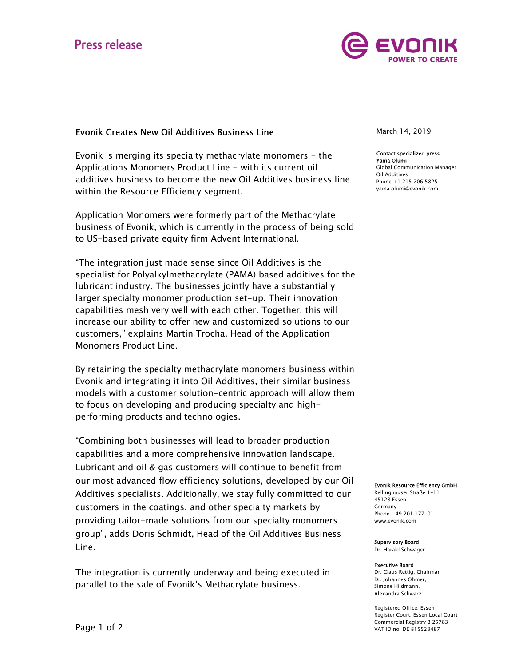# Press release



## Evonik Creates New Oil Additives Business Line

Evonik is merging its specialty methacrylate monomers - the Applications Monomers Product Line - with its current oil additives business to become the new Oil Additives business line within the Resource Efficiency segment.

Application Monomers were formerly part of the Methacrylate business of Evonik, which is currently in the process of being sold to US-based private equity firm Advent International.

"The integration just made sense since Oil Additives is the specialist for Polyalkylmethacrylate (PAMA) based additives for the lubricant industry. The businesses jointly have a substantially larger specialty monomer production set-up. Their innovation capabilities mesh very well with each other. Together, this will increase our ability to offer new and customized solutions to our customers," explains Martin Trocha, Head of the Application Monomers Product Line.

By retaining the specialty methacrylate monomers business within Evonik and integrating it into Oil Additives, their similar business models with a customer solution-centric approach will allow them to focus on developing and producing specialty and highperforming products and technologies.

"Combining both businesses will lead to broader production capabilities and a more comprehensive innovation landscape. Lubricant and oil & gas customers will continue to benefit from our most advanced flow efficiency solutions, developed by our Oil Additives specialists. Additionally, we stay fully committed to our customers in the coatings, and other specialty markets by providing tailor-made solutions from our specialty monomers group", adds Doris Schmidt, Head of the Oil Additives Business Line.

The integration is currently underway and being executed in parallel to the sale of Evonik's Methacrylate business.

March 14, 2019

#### Contact specialized press Yama Olumi

Global Communication Manager Oil Additives Phone +1 215 706 5825 yama.olumi@evonik.com

#### Evonik Resource Efficiency GmbH

Rellinghauser Straße 1-11 45128 Essen Germany Phone +49 201 177-01 www.evonik.com

Supervisory Board

Dr. Harald Schwager

#### Executive Board

Dr. Claus Rettig, Chairman Dr. Johannes Ohmer, Simone Hildmann, Alexandra Schwarz

Registered Office: Essen Register Court: Essen Local Court Commercial Registry B 25783 VAT ID no. DE 815528487